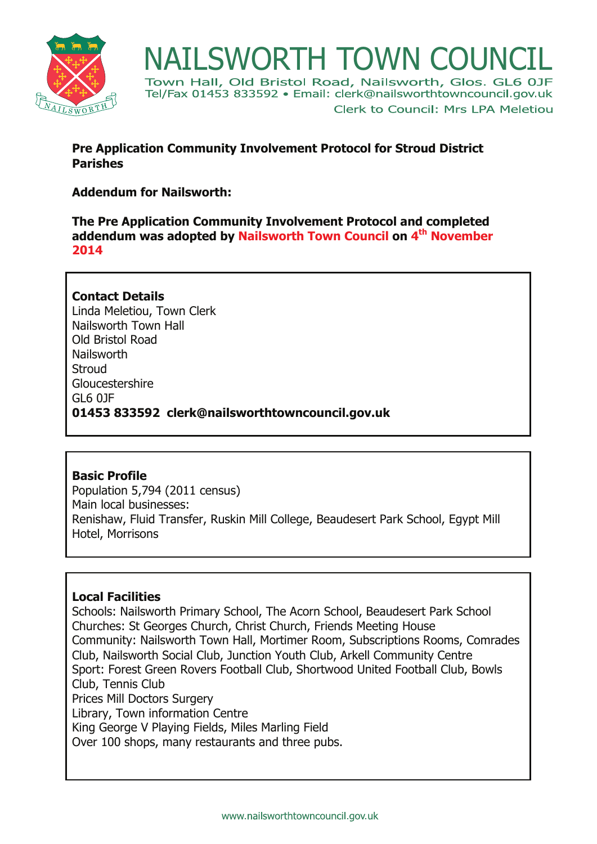

**NAILSWORTH TOWN COUNCIL**<br>Town Hall, Old Bristol Road, Nailsworth, Glos. GL6 0JF Tel/Fax 01453 833592 · Email: clerk@nailsworthtowncouncil.gov.uk Clerk to Council: Mrs LPA Meletiou

## **Pre Application Community Involvement Protocol for Stroud District Parishes**

# **Addendum for Nailsworth:**

**The Pre Application Community Involvement Protocol and completed addendum was adopted by Nailsworth Town Council on 4th November 2014**

**Contact Details**  Linda Meletiou, Town Clerk Nailsworth Town Hall Old Bristol Road Nailsworth **Stroud** Gloucestershire GL6 0JF **01453 833592 clerk@nailsworthtowncouncil.gov.uk**

#### **Basic Profile**

Population 5,794 (2011 census) Main local businesses: Renishaw, Fluid Transfer, Ruskin Mill College, Beaudesert Park School, Egypt Mill Hotel, Morrisons

#### **Local Facilities**

Schools: Nailsworth Primary School, The Acorn School, Beaudesert Park School Churches: St Georges Church, Christ Church, Friends Meeting House Community: Nailsworth Town Hall, Mortimer Room, Subscriptions Rooms, Comrades Club, Nailsworth Social Club, Junction Youth Club, Arkell Community Centre Sport: Forest Green Rovers Football Club, Shortwood United Football Club, Bowls Club, Tennis Club Prices Mill Doctors Surgery Library, Town information Centre King George V Playing Fields, Miles Marling Field Over 100 shops, many restaurants and three pubs.